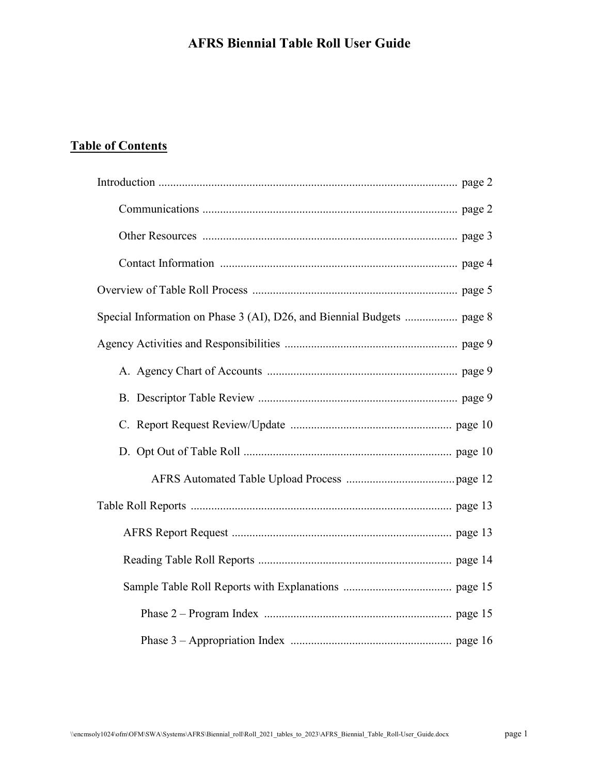# **Table of Contents**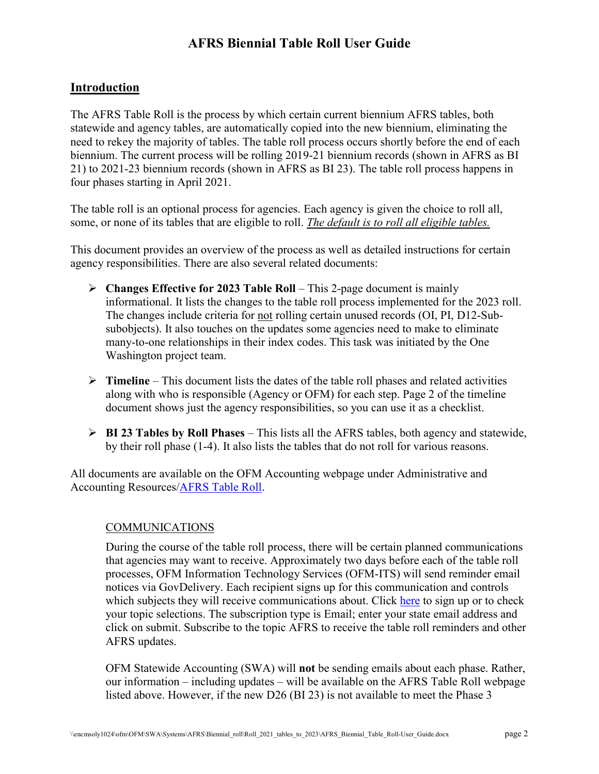### **Introduction**

The AFRS Table Roll is the process by which certain current biennium AFRS tables, both statewide and agency tables, are automatically copied into the new biennium, eliminating the need to rekey the majority of tables. The table roll process occurs shortly before the end of each biennium. The current process will be rolling 2019-21 biennium records (shown in AFRS as BI 21) to 2021-23 biennium records (shown in AFRS as BI 23). The table roll process happens in four phases starting in April 2021.

The table roll is an optional process for agencies. Each agency is given the choice to roll all, some, or none of its tables that are eligible to roll. *The default is to roll all eligible tables.*

This document provides an overview of the process as well as detailed instructions for certain agency responsibilities. There are also several related documents:

- **Changes Effective for 2023 Table Roll** This 2-page document is mainly informational. It lists the changes to the table roll process implemented for the 2023 roll. The changes include criteria for not rolling certain unused records (OI, PI, D12-Subsubobjects). It also touches on the updates some agencies need to make to eliminate many-to-one relationships in their index codes. This task was initiated by the One Washington project team.
- $\triangleright$  **Timeline** This document lists the dates of the table roll phases and related activities along with who is responsible (Agency or OFM) for each step. Page 2 of the timeline document shows just the agency responsibilities, so you can use it as a checklist.
- **BI 23 Tables by Roll Phases** This lists all the AFRS tables, both agency and statewide, by their roll phase (1-4). It also lists the tables that do not roll for various reasons.

All documents are available on the OFM Accounting webpage under Administrative and Accounting Resources[/AFRS Table Roll.](http://www.ofm.wa.gov/resources/table_roll.asp)

#### COMMUNICATIONS

During the course of the table roll process, there will be certain planned communications that agencies may want to receive. Approximately two days before each of the table roll processes, OFM Information Technology Services (OFM-ITS) will send reminder email notices via GovDelivery. Each recipient signs up for this communication and controls which subjects they will receive communications about. Click [here](https://public.govdelivery.com/accounts/wagov/subscriber/new?preferences=true#tab1) to sign up or to check your topic selections. The subscription type is Email; enter your state email address and click on submit. Subscribe to the topic AFRS to receive the table roll reminders and other AFRS updates.

OFM Statewide Accounting (SWA) will **not** be sending emails about each phase. Rather, our information – including updates – will be available on the AFRS Table Roll webpage listed above. However, if the new D26 (BI 23) is not available to meet the Phase 3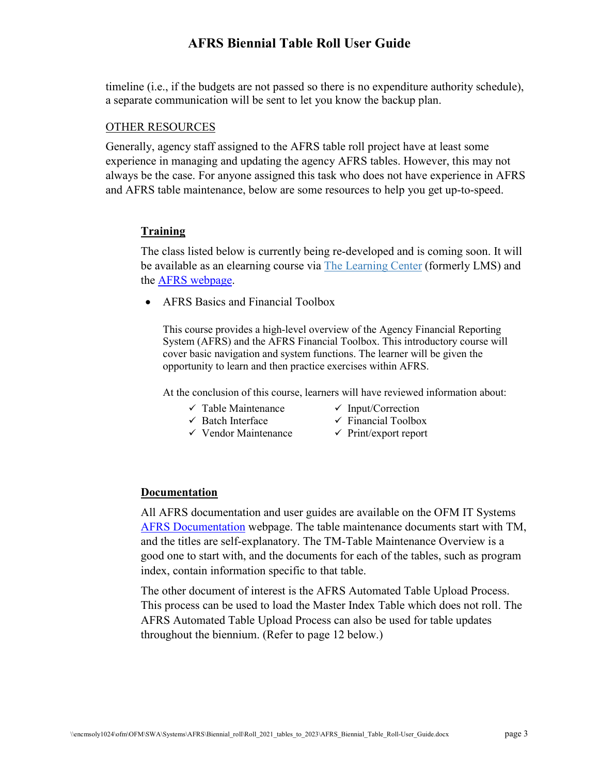timeline (i.e., if the budgets are not passed so there is no expenditure authority schedule), a separate communication will be sent to let you know the backup plan.

#### OTHER RESOURCES

Generally, agency staff assigned to the AFRS table roll project have at least some experience in managing and updating the agency AFRS tables. However, this may not always be the case. For anyone assigned this task who does not have experience in AFRS and AFRS table maintenance, below are some resources to help you get up-to-speed.

#### **Training**

The class listed below is currently being re-developed and is coming soon. It will be available as an elearning course via [The Learning Center](https://sowa.sumtotal.host/core/) (formerly LMS) and the [AFRS webpage.](https://ofm.wa.gov/it-systems/accounting-systems/agency-financial-reporting-system-afrs)

• AFRS Basics and Financial Toolbox

This course provides a high-level overview of the Agency Financial Reporting System (AFRS) and the AFRS Financial Toolbox. This introductory course will cover basic navigation and system functions. The learner will be given the opportunity to learn and then practice exercises within AFRS.

At the conclusion of this course, learners will have reviewed information about:

- $\checkmark$  Table Maintenance  $\checkmark$  Input/Correction
	-
- $\checkmark$  Batch Interface  $\checkmark$  Financial Toolbox
- 
- $\checkmark$  Vendor Maintenance  $\checkmark$  Print/export report

#### **Documentation**

All AFRS documentation and user guides are available on the OFM IT Systems [AFRS Documentation](https://ofm.wa.gov/it-systems/agency-financial-reporting-system-afrs/afrs-documentation) webpage. The table maintenance documents start with TM, and the titles are self-explanatory. The TM-Table Maintenance Overview is a good one to start with, and the documents for each of the tables, such as program index, contain information specific to that table.

The other document of interest is the AFRS Automated Table Upload Process. This process can be used to load the Master Index Table which does not roll. The AFRS Automated Table Upload Process can also be used for table updates throughout the biennium. (Refer to page 12 below.)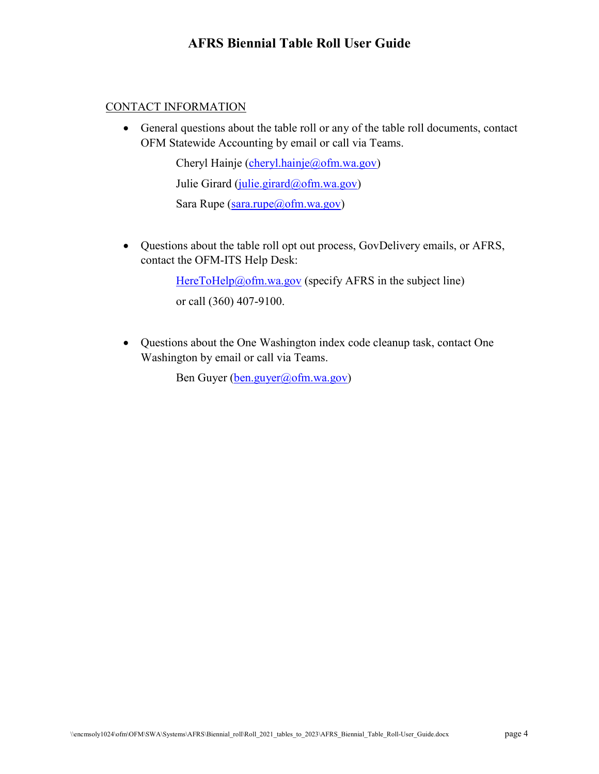#### CONTACT INFORMATION

• General questions about the table roll or any of the table roll documents, contact OFM Statewide Accounting by email or call via Teams.

> Cheryl Hainje [\(cheryl.hainje@ofm.wa.gov\)](mailto:cheryl.hainje@ofm.wa.gov) Julie Girard [\(julie.girard@ofm.wa.gov\)](mailto:julie.girard@ofm.wa.gov) Sara Rupe [\(sara.rupe@ofm.wa.gov\)](mailto:sara.rupe@ofm.wa.gov)

• Questions about the table roll opt out process, GovDelivery emails, or AFRS, contact the OFM-ITS Help Desk:

> [HereToHelp@ofm.wa.gov](mailto:HereToHelp@ofm.wa.gov) (specify AFRS in the subject line) or call (360) 407-9100.

• Questions about the One Washington index code cleanup task, contact One Washington by email or call via Teams.

Ben Guyer [\(ben.guyer@ofm.wa.gov\)](mailto:ben.guyer@ofm.wa.gov)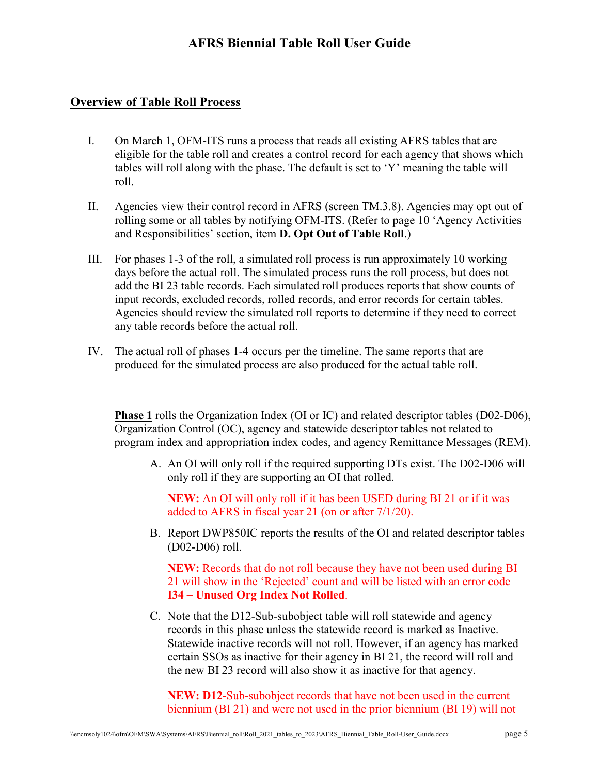#### **Overview of Table Roll Process**

- I. On March 1, OFM-ITS runs a process that reads all existing AFRS tables that are eligible for the table roll and creates a control record for each agency that shows which tables will roll along with the phase. The default is set to 'Y' meaning the table will roll.
- II. Agencies view their control record in AFRS (screen TM.3.8). Agencies may opt out of rolling some or all tables by notifying OFM-ITS. (Refer to page 10 'Agency Activities and Responsibilities' section, item **D. Opt Out of Table Roll**.)
- III. For phases 1-3 of the roll, a simulated roll process is run approximately 10 working days before the actual roll. The simulated process runs the roll process, but does not add the BI 23 table records. Each simulated roll produces reports that show counts of input records, excluded records, rolled records, and error records for certain tables. Agencies should review the simulated roll reports to determine if they need to correct any table records before the actual roll.
- IV. The actual roll of phases 1-4 occurs per the timeline. The same reports that are produced for the simulated process are also produced for the actual table roll.

**Phase 1** rolls the Organization Index (OI or IC) and related descriptor tables (D02-D06), Organization Control (OC), agency and statewide descriptor tables not related to program index and appropriation index codes, and agency Remittance Messages (REM).

A. An OI will only roll if the required supporting DTs exist. The D02-D06 will only roll if they are supporting an OI that rolled.

**NEW:** An OI will only roll if it has been USED during BI 21 or if it was added to AFRS in fiscal year 21 (on or after 7/1/20).

B. Report DWP850IC reports the results of the OI and related descriptor tables (D02-D06) roll.

**NEW:** Records that do not roll because they have not been used during BI 21 will show in the 'Rejected' count and will be listed with an error code **I34 – Unused Org Index Not Rolled**.

C. Note that the D12-Sub-subobject table will roll statewide and agency records in this phase unless the statewide record is marked as Inactive. Statewide inactive records will not roll. However, if an agency has marked certain SSOs as inactive for their agency in BI 21, the record will roll and the new BI 23 record will also show it as inactive for that agency.

**NEW: D12-**Sub-subobject records that have not been used in the current biennium (BI 21) and were not used in the prior biennium (BI 19) will not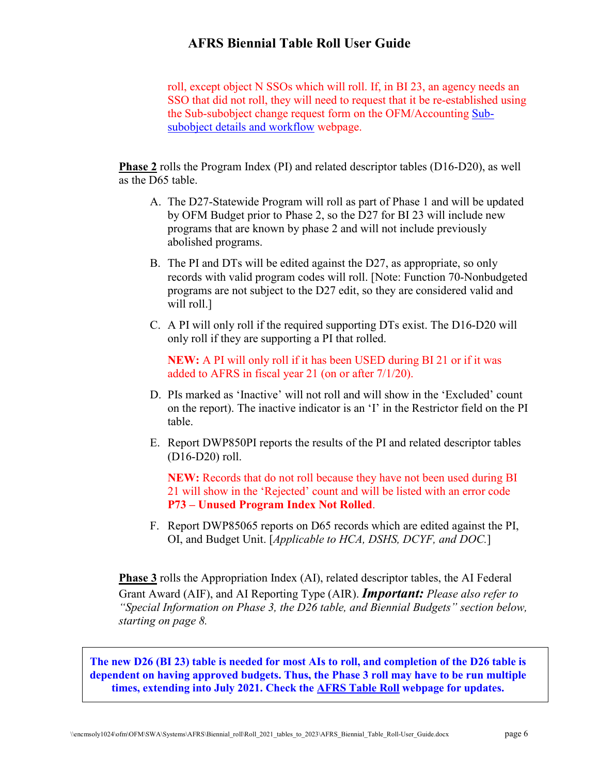roll, except object N SSOs which will roll. If, in BI 23, an agency needs an SSO that did not roll, they will need to request that it be re-established using the Sub-subobject change request form on the OFM/Accounting [Sub](https://ofm.wa.gov/accounting/saam/sub-subobject-details-and-workflow)[subobject details and workflow](https://ofm.wa.gov/accounting/saam/sub-subobject-details-and-workflow) webpage.

**Phase 2** rolls the Program Index (PI) and related descriptor tables (D16-D20), as well as the D65 table.

- A. The D27-Statewide Program will roll as part of Phase 1 and will be updated by OFM Budget prior to Phase 2, so the D27 for BI 23 will include new programs that are known by phase 2 and will not include previously abolished programs.
- B. The PI and DTs will be edited against the D27, as appropriate, so only records with valid program codes will roll. [Note: Function 70-Nonbudgeted programs are not subject to the D27 edit, so they are considered valid and will roll.]
- C. A PI will only roll if the required supporting DTs exist. The D16-D20 will only roll if they are supporting a PI that rolled.

**NEW:** A PI will only roll if it has been USED during BI 21 or if it was added to AFRS in fiscal year 21 (on or after 7/1/20).

- D. PIs marked as 'Inactive' will not roll and will show in the 'Excluded' count on the report). The inactive indicator is an 'I' in the Restrictor field on the PI table.
- E. Report DWP850PI reports the results of the PI and related descriptor tables (D16-D20) roll.

**NEW:** Records that do not roll because they have not been used during BI 21 will show in the 'Rejected' count and will be listed with an error code **P73 – Unused Program Index Not Rolled**.

F. Report DWP85065 reports on D65 records which are edited against the PI, OI, and Budget Unit. [*Applicable to HCA, DSHS, DCYF, and DOC.*]

**Phase 3** rolls the Appropriation Index (AI), related descriptor tables, the AI Federal Grant Award (AIF), and AI Reporting Type (AIR). *Important: Please also refer to "Special Information on Phase 3, the D26 table, and Biennial Budgets" section below, starting on page 8.*

**The new D26 (BI 23) table is needed for most AIs to roll, and completion of the D26 table is dependent on having approved budgets. Thus, the Phase 3 roll may have to be run multiple times, extending into July 2021. Check the [AFRS Table Roll](https://ofm.wa.gov/accounting/administrative-accounting-resources/afrs-table-roll) webpage for updates.**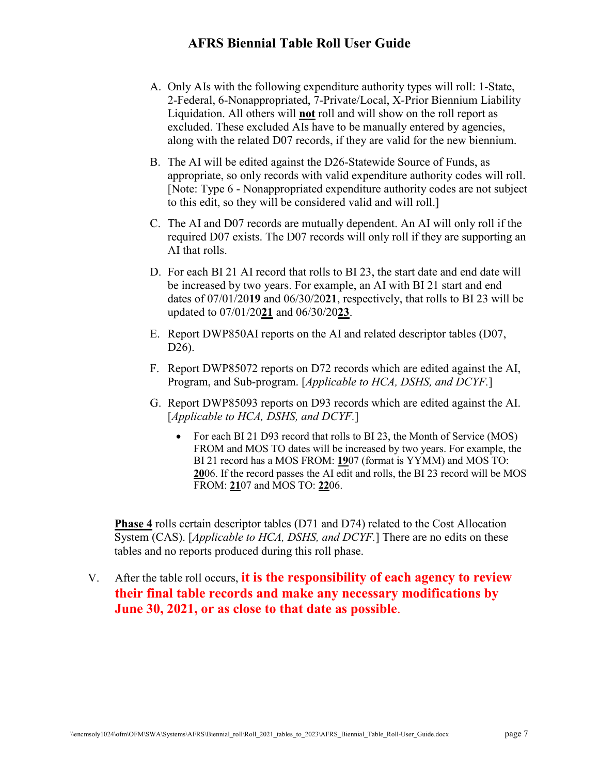- A. Only AIs with the following expenditure authority types will roll: 1-State, 2-Federal, 6-Nonappropriated, 7-Private/Local, X-Prior Biennium Liability Liquidation. All others will **not** roll and will show on the roll report as excluded. These excluded AIs have to be manually entered by agencies, along with the related D07 records, if they are valid for the new biennium.
- B. The AI will be edited against the D26-Statewide Source of Funds, as appropriate, so only records with valid expenditure authority codes will roll. [Note: Type 6 - Nonappropriated expenditure authority codes are not subject to this edit, so they will be considered valid and will roll.]
- C. The AI and D07 records are mutually dependent. An AI will only roll if the required D07 exists. The D07 records will only roll if they are supporting an AI that rolls.
- D. For each BI 21 AI record that rolls to BI 23, the start date and end date will be increased by two years. For example, an AI with BI 21 start and end dates of 07/01/20**19** and 06/30/20**21**, respectively, that rolls to BI 23 will be updated to 07/01/20**21** and 06/30/20**23**.
- E. Report DWP850AI reports on the AI and related descriptor tables (D07, D26).
- F. Report DWP85072 reports on D72 records which are edited against the AI, Program, and Sub-program. [*Applicable to HCA, DSHS, and DCYF.*]
- G. Report DWP85093 reports on D93 records which are edited against the AI. [*Applicable to HCA, DSHS, and DCYF.*]
	- For each BI 21 D93 record that rolls to BI 23, the Month of Service (MOS) FROM and MOS TO dates will be increased by two years. For example, the BI 21 record has a MOS FROM: **19**07 (format is YYMM) and MOS TO: **20**06. If the record passes the AI edit and rolls, the BI 23 record will be MOS FROM: **21**07 and MOS TO: **22**06.

**Phase 4** rolls certain descriptor tables (D71 and D74) related to the Cost Allocation System (CAS). [*Applicable to HCA, DSHS, and DCYF.*] There are no edits on these tables and no reports produced during this roll phase.

## V. After the table roll occurs, **it is the responsibility of each agency to review their final table records and make any necessary modifications by June 30, 2021, or as close to that date as possible**.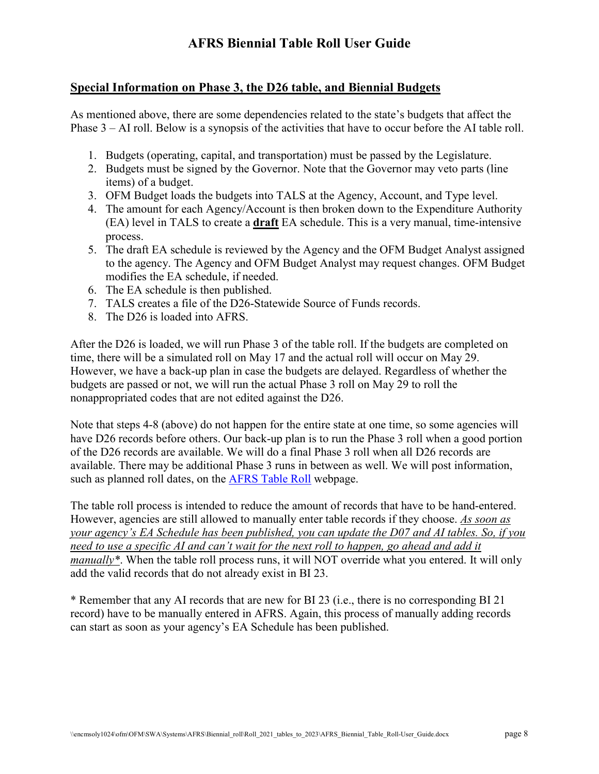### **Special Information on Phase 3, the D26 table, and Biennial Budgets**

As mentioned above, there are some dependencies related to the state's budgets that affect the Phase 3 – AI roll. Below is a synopsis of the activities that have to occur before the AI table roll.

- 1. Budgets (operating, capital, and transportation) must be passed by the Legislature.
- 2. Budgets must be signed by the Governor. Note that the Governor may veto parts (line items) of a budget.
- 3. OFM Budget loads the budgets into TALS at the Agency, Account, and Type level.
- 4. The amount for each Agency/Account is then broken down to the Expenditure Authority (EA) level in TALS to create a **draft** EA schedule. This is a very manual, time-intensive process.
- 5. The draft EA schedule is reviewed by the Agency and the OFM Budget Analyst assigned to the agency. The Agency and OFM Budget Analyst may request changes. OFM Budget modifies the EA schedule, if needed.
- 6. The EA schedule is then published.
- 7. TALS creates a file of the D26-Statewide Source of Funds records.
- 8. The D26 is loaded into AFRS.

After the D26 is loaded, we will run Phase 3 of the table roll. If the budgets are completed on time, there will be a simulated roll on May 17 and the actual roll will occur on May 29. However, we have a back-up plan in case the budgets are delayed. Regardless of whether the budgets are passed or not, we will run the actual Phase 3 roll on May 29 to roll the nonappropriated codes that are not edited against the D26.

Note that steps 4-8 (above) do not happen for the entire state at one time, so some agencies will have D26 records before others. Our back-up plan is to run the Phase 3 roll when a good portion of the D26 records are available. We will do a final Phase 3 roll when all D26 records are available. There may be additional Phase 3 runs in between as well. We will post information, such as planned roll dates, on the [AFRS Table Roll](http://www.ofm.wa.gov/resources/table_roll.asp) webpage.

The table roll process is intended to reduce the amount of records that have to be hand-entered. However, agencies are still allowed to manually enter table records if they choose. *As soon as your agency's EA Schedule has been published, you can update the D07 and AI tables. So, if you need to use a specific AI and can't wait for the next roll to happen, go ahead and add it manually\**. When the table roll process runs, it will NOT override what you entered. It will only add the valid records that do not already exist in BI 23.

\* Remember that any AI records that are new for BI 23 (i.e., there is no corresponding BI 21 record) have to be manually entered in AFRS. Again, this process of manually adding records can start as soon as your agency's EA Schedule has been published.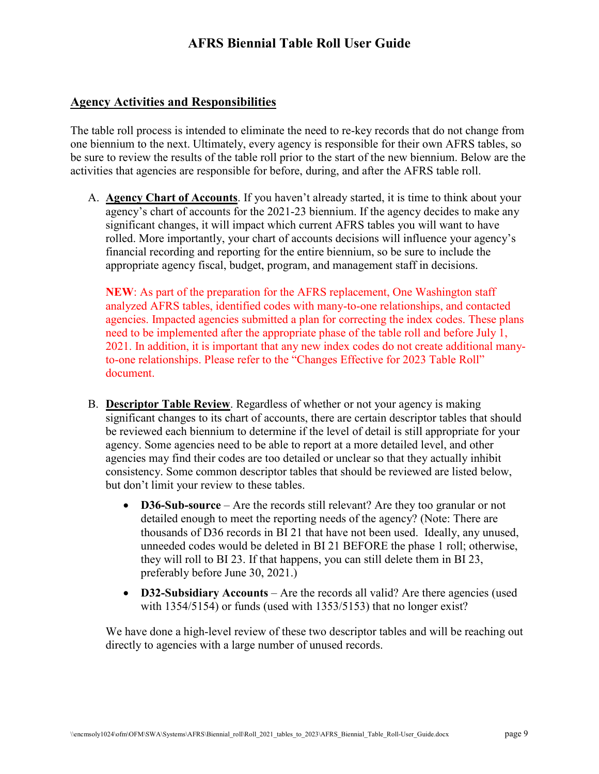#### **Agency Activities and Responsibilities**

The table roll process is intended to eliminate the need to re-key records that do not change from one biennium to the next. Ultimately, every agency is responsible for their own AFRS tables, so be sure to review the results of the table roll prior to the start of the new biennium. Below are the activities that agencies are responsible for before, during, and after the AFRS table roll.

A. **Agency Chart of Accounts**. If you haven't already started, it is time to think about your agency's chart of accounts for the 2021-23 biennium. If the agency decides to make any significant changes, it will impact which current AFRS tables you will want to have rolled. More importantly, your chart of accounts decisions will influence your agency's financial recording and reporting for the entire biennium, so be sure to include the appropriate agency fiscal, budget, program, and management staff in decisions.

**NEW**: As part of the preparation for the AFRS replacement, One Washington staff analyzed AFRS tables, identified codes with many-to-one relationships, and contacted agencies. Impacted agencies submitted a plan for correcting the index codes. These plans need to be implemented after the appropriate phase of the table roll and before July 1, 2021. In addition, it is important that any new index codes do not create additional manyto-one relationships. Please refer to the "Changes Effective for 2023 Table Roll" document.

- B. **Descriptor Table Review**. Regardless of whether or not your agency is making significant changes to its chart of accounts, there are certain descriptor tables that should be reviewed each biennium to determine if the level of detail is still appropriate for your agency. Some agencies need to be able to report at a more detailed level, and other agencies may find their codes are too detailed or unclear so that they actually inhibit consistency. Some common descriptor tables that should be reviewed are listed below, but don't limit your review to these tables.
	- **D36-Sub-source** Are the records still relevant? Are they too granular or not detailed enough to meet the reporting needs of the agency? (Note: There are thousands of D36 records in BI 21 that have not been used. Ideally, any unused, unneeded codes would be deleted in BI 21 BEFORE the phase 1 roll; otherwise, they will roll to BI 23. If that happens, you can still delete them in BI 23, preferably before June 30, 2021.)
	- **D32-Subsidiary Accounts** Are the records all valid? Are there agencies (used with 1354/5154) or funds (used with 1353/5153) that no longer exist?

We have done a high-level review of these two descriptor tables and will be reaching out directly to agencies with a large number of unused records.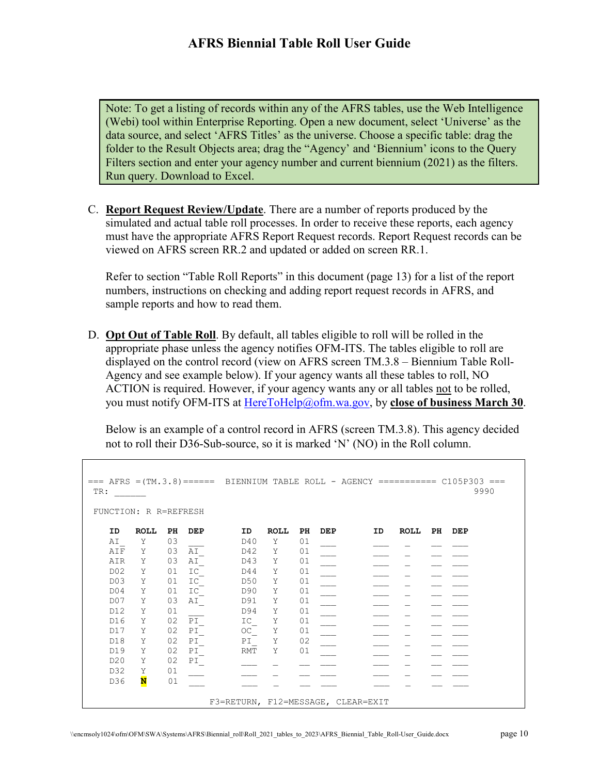Note: To get a listing of records within any of the AFRS tables, use the Web Intelligence (Webi) tool within Enterprise Reporting. Open a new document, select 'Universe' as the data source, and select 'AFRS Titles' as the universe. Choose a specific table: drag the folder to the Result Objects area; drag the "Agency' and 'Biennium' icons to the Query Filters section and enter your agency number and current biennium (2021) as the filters. Run query. Download to Excel.

C. **Report Request Review/Update**. There are a number of reports produced by the simulated and actual table roll processes. In order to receive these reports, each agency must have the appropriate AFRS Report Request records. Report Request records can be viewed on AFRS screen RR.2 and updated or added on screen RR.1.

Refer to section "Table Roll Reports" in this document (page 13) for a list of the report numbers, instructions on checking and adding report request records in AFRS, and sample reports and how to read them.

D. **Opt Out of Table Roll**. By default, all tables eligible to roll will be rolled in the appropriate phase unless the agency notifies OFM-ITS. The tables eligible to roll are displayed on the control record (view on AFRS screen TM.3.8 – Biennium Table Roll-Agency and see example below). If your agency wants all these tables to roll, NO ACTION is required. However, if your agency wants any or all tables not to be rolled, you must notify OFM-ITS at [HereToHelp@ofm.wa.gov,](mailto:HereToHelp@ofm.wa.gov) by **close of business March 30**.

Below is an example of a control record in AFRS (screen TM.3.8). This agency decided not to roll their D36-Sub-source, so it is marked 'N' (NO) in the Roll column.

```
=== AFRS =(TM.3.8)====== BIENNIUM TABLE ROLL - AGENCY ========== C105P303 ===<br>TR: 9990
 TR: ______ 9990 
FUNCTION: R R=REFRESH 
 ID ROLL PH DEP ID ROLL PH DEP ID ROLL PH DEP 
AI_ Y 03 ___ D40 Y 01 ___ _ __ _ _ __ __
AIF Y 03 AI_ D42 Y 01 ___ _ __ _ _ __ __
AIR Y 03 AI_ D43 Y 01 ___ _ __ _ _ __ __
D02 Y 01 IC_ D44 Y 01 ___ _ __ _ _ __ __
\Box D03 Y 01 IC_ D50 Y 01 ___ _ __ _ _ _ __ __
D04 Y 01 IC_ D90 Y 01 ___ _ __ _ _ __ __
D07 Y 03 AI_ D91 Y 01 ___ _ __ _ _ __ __
D12 Y 01 ___ D94 Y 01 ___ _ __ _ _ __ __
D16 Y 02 PI_ 1C_ Y 01 ___ _ __ _ __ __ __
   \begin{array}{cccccccccccccccc} {\rm A1} & {\rm Y} & 03 & \overline{\rm AI} & {\rm D40} & {\rm Y} & 01 & \overline{\rm A1F} & {\rm Y} & 03 & \overline{\rm AI} & {\rm D42} & {\rm Y} & 01 & \overline{\rm D1} & \overline{\rm D1} & {\rm N1} & {\rm N1} & {\rm N1} & {\rm N1} & {\rm N1} & {\rm N1} & {\rm N1} & {\rm N1} & {\rm N1} & {\rm N1} & {\rm N1} & {\rm N1} & {\rm N1} & {\rm N1} & {\rm N1} & {\rm N1} & {\rm N1} & {\rm N1} & {\rmD18 Y 02 PI_ PI_ Y 02<br>
D19 Y 02 PI_ RMT Y 01
   D19 Y 02 PI<br>D20 Y 02 PI
    D20 Y 02 PI_ ___ _ __ ___ ___ _ __ ___ 
   D32 Y 01 ___ __ __ _ _<br>D36 <mark>N</mark> 01
D36 N 01 ___ _ __ _ __ __ __ __ __ __ _
                       F3=RETURN, F12=MESSAGE, CLEAR=EXIT
```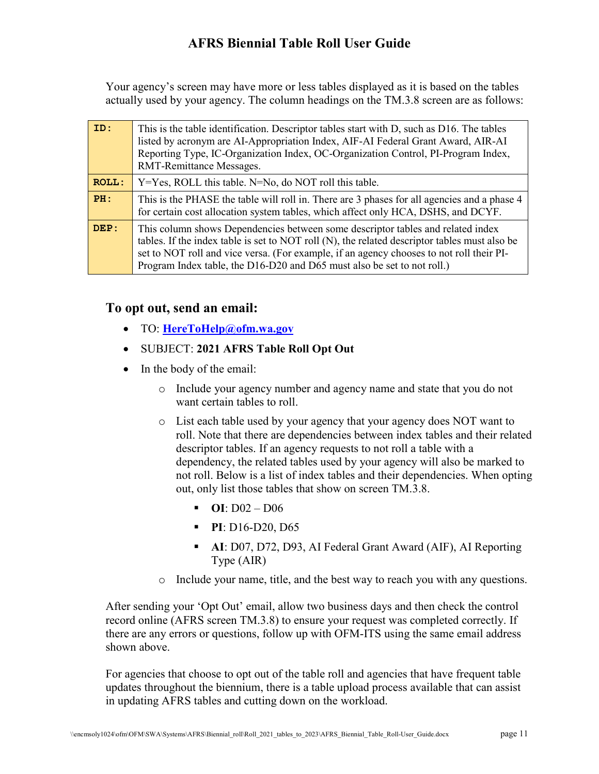Your agency's screen may have more or less tables displayed as it is based on the tables actually used by your agency. The column headings on the TM.3.8 screen are as follows:

| ID:          | This is the table identification. Descriptor tables start with D, such as D16. The tables<br>listed by acronym are AI-Appropriation Index, AIF-AI Federal Grant Award, AIR-AI<br>Reporting Type, IC-Organization Index, OC-Organization Control, PI-Program Index,<br>RMT-Remittance Messages.                                                          |
|--------------|---------------------------------------------------------------------------------------------------------------------------------------------------------------------------------------------------------------------------------------------------------------------------------------------------------------------------------------------------------|
| <b>ROLL:</b> | $Y = Yes$ , ROLL this table. N=No, do NOT roll this table.                                                                                                                                                                                                                                                                                              |
| PH:          | This is the PHASE the table will roll in. There are 3 phases for all agencies and a phase 4<br>for certain cost allocation system tables, which affect only HCA, DSHS, and DCYF.                                                                                                                                                                        |
| DEP:         | This column shows Dependencies between some descriptor tables and related index<br>tables. If the index table is set to NOT roll (N), the related descriptor tables must also be<br>set to NOT roll and vice versa. (For example, if an agency chooses to not roll their PI-<br>Program Index table, the D16-D20 and D65 must also be set to not roll.) |

### **To opt out, send an email:**

- TO: **[HereToHelp@ofm.wa.gov](mailto:HereToHelp@ofm.wa.gov)**
- SUBJECT: **2021 AFRS Table Roll Opt Out**
- In the body of the email:
	- o Include your agency number and agency name and state that you do not want certain tables to roll.
	- o List each table used by your agency that your agency does NOT want to roll. Note that there are dependencies between index tables and their related descriptor tables. If an agency requests to not roll a table with a dependency, the related tables used by your agency will also be marked to not roll. Below is a list of index tables and their dependencies. When opting out, only list those tables that show on screen TM.3.8.
		- $\blacksquare$  **OI**: D02 D06
		- **PI**: D16-D20, D65
		- **AI**: D07, D72, D93, AI Federal Grant Award (AIF), AI Reporting Type (AIR)
	- o Include your name, title, and the best way to reach you with any questions.

After sending your 'Opt Out' email, allow two business days and then check the control record online (AFRS screen TM.3.8) to ensure your request was completed correctly. If there are any errors or questions, follow up with OFM-ITS using the same email address shown above.

For agencies that choose to opt out of the table roll and agencies that have frequent table updates throughout the biennium, there is a table upload process available that can assist in updating AFRS tables and cutting down on the workload.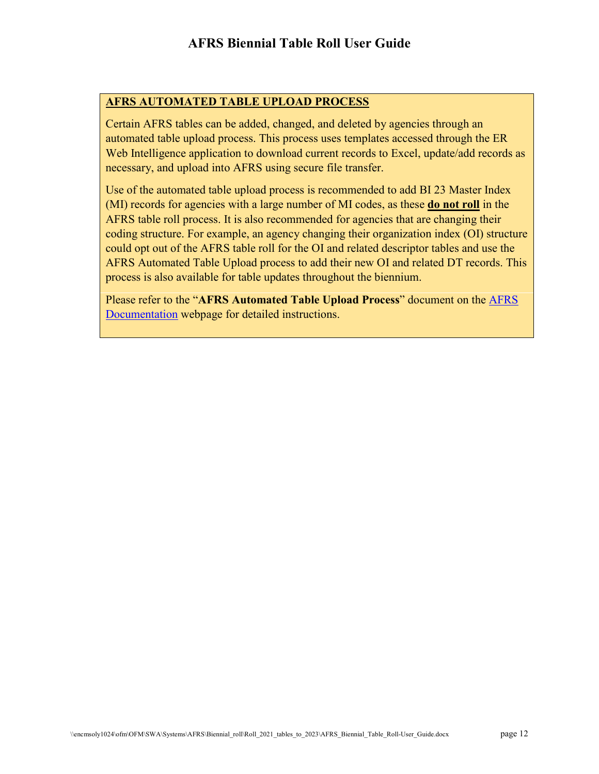#### **AFRS AUTOMATED TABLE UPLOAD PROCESS**

Certain AFRS tables can be added, changed, and deleted by agencies through an automated table upload process. This process uses templates accessed through the ER Web Intelligence application to download current records to Excel, update/add records as necessary, and upload into AFRS using secure file transfer.

Use of the automated table upload process is recommended to add BI 23 Master Index (MI) records for agencies with a large number of MI codes, as these **do not roll** in the AFRS table roll process. It is also recommended for agencies that are changing their coding structure. For example, an agency changing their organization index (OI) structure could opt out of the AFRS table roll for the OI and related descriptor tables and use the AFRS Automated Table Upload process to add their new OI and related DT records. This process is also available for table updates throughout the biennium.

Please refer to the "**AFRS Automated Table Upload Process**" document on the [AFRS](https://ofm.wa.gov/it-systems/agency-financial-reporting-system-afrs/afrs-documentation)  [Documentation](https://ofm.wa.gov/it-systems/agency-financial-reporting-system-afrs/afrs-documentation) webpage for detailed instructions.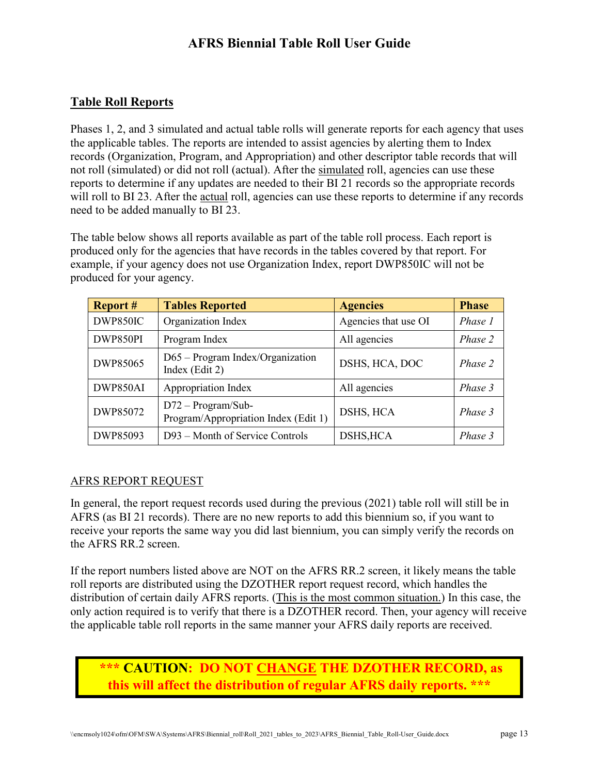### **Table Roll Reports**

Phases 1, 2, and 3 simulated and actual table rolls will generate reports for each agency that uses the applicable tables. The reports are intended to assist agencies by alerting them to Index records (Organization, Program, and Appropriation) and other descriptor table records that will not roll (simulated) or did not roll (actual). After the simulated roll, agencies can use these reports to determine if any updates are needed to their BI 21 records so the appropriate records will roll to BI 23. After the actual roll, agencies can use these reports to determine if any records need to be added manually to BI 23.

The table below shows all reports available as part of the table roll process. Each report is produced only for the agencies that have records in the tables covered by that report. For example, if your agency does not use Organization Index, report DWP850IC will not be produced for your agency.

| <b>Report #</b> | <b>Tables Reported</b>                                       | <b>Agencies</b>      | <b>Phase</b> |
|-----------------|--------------------------------------------------------------|----------------------|--------------|
| DWP850IC        | Organization Index                                           | Agencies that use OI | Phase 1      |
| DWP850PI        | Program Index                                                | All agencies         | Phase 2      |
| DWP85065        | $D65 - Program Index/Organization$<br>Index (Edit 2)         | DSHS, HCA, DOC       | Phase 2      |
| DWP850AI        | Appropriation Index                                          | All agencies         | Phase 3      |
| DWP85072        | $D72 - Program/Sub-$<br>Program/Appropriation Index (Edit 1) | DSHS, HCA            | Phase 3      |
| DWP85093        | D93 – Month of Service Controls                              | DSHS, HCA            | Phase 3      |

#### AFRS REPORT REQUEST

In general, the report request records used during the previous (2021) table roll will still be in AFRS (as BI 21 records). There are no new reports to add this biennium so, if you want to receive your reports the same way you did last biennium, you can simply verify the records on the AFRS RR.2 screen.

If the report numbers listed above are NOT on the AFRS RR.2 screen, it likely means the table roll reports are distributed using the DZOTHER report request record, which handles the distribution of certain daily AFRS reports. (This is the most common situation.) In this case, the only action required is to verify that there is a DZOTHER record. Then, your agency will receive the applicable table roll reports in the same manner your AFRS daily reports are received.

# **\*\*\* CAUTION: DO NOT CHANGE THE DZOTHER RECORD, as this will affect the distribution of regular AFRS daily reports. \*\*\***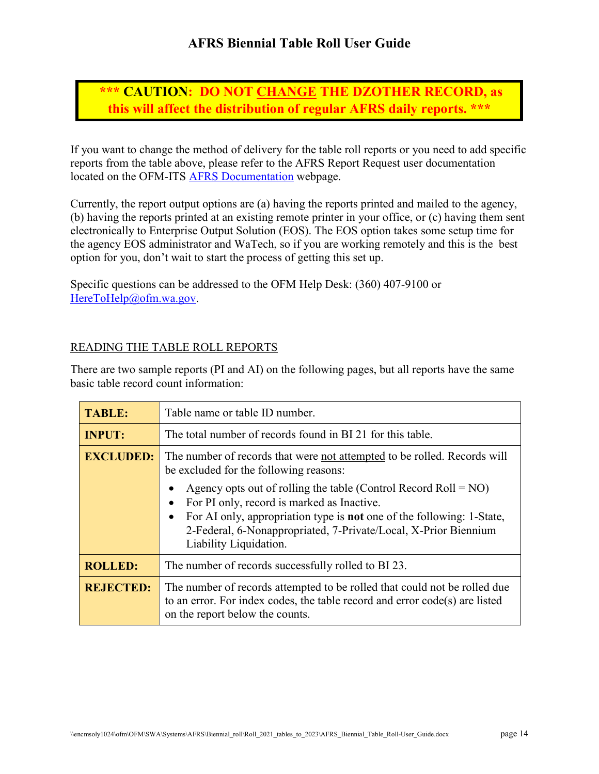**\*\*\* CAUTION: DO NOT CHANGE THE DZOTHER RECORD, as this will affect the distribution of regular AFRS daily reports. \*\*\***

If you want to change the method of delivery for the table roll reports or you need to add specific reports from the table above, please refer to the AFRS Report Request user documentation located on the OFM-ITS [AFRS Documentation](https://ofm.wa.gov/it-systems/accounting-systems/agency-financial-reporting-system-afrs/afrs-documentation) webpage.

Currently, the report output options are (a) having the reports printed and mailed to the agency, (b) having the reports printed at an existing remote printer in your office, or (c) having them sent electronically to Enterprise Output Solution (EOS). The EOS option takes some setup time for the agency EOS administrator and WaTech, so if you are working remotely and this is the best option for you, don't wait to start the process of getting this set up.

Specific questions can be addressed to the OFM Help Desk: (360) 407-9100 or [HereToHelp@ofm.wa.gov.](mailto:HereToHelp@ofm.wa.gov)

#### READING THE TABLE ROLL REPORTS

There are two sample reports (PI and AI) on the following pages, but all reports have the same basic table record count information:

| <b>TABLE:</b>    | Table name or table ID number.                                                                                                                                                                                                                                                                |  |  |  |  |  |  |
|------------------|-----------------------------------------------------------------------------------------------------------------------------------------------------------------------------------------------------------------------------------------------------------------------------------------------|--|--|--|--|--|--|
| <b>INPUT:</b>    | The total number of records found in BI 21 for this table.                                                                                                                                                                                                                                    |  |  |  |  |  |  |
| <b>EXCLUDED:</b> | The number of records that were not attempted to be rolled. Records will<br>be excluded for the following reasons:                                                                                                                                                                            |  |  |  |  |  |  |
|                  | Agency opts out of rolling the table (Control Record Roll = $NO$ )<br>For PI only, record is marked as Inactive.<br>For AI only, appropriation type is <b>not</b> one of the following: 1-State,<br>2-Federal, 6-Nonappropriated, 7-Private/Local, X-Prior Biennium<br>Liability Liquidation. |  |  |  |  |  |  |
| <b>ROLLED:</b>   | The number of records successfully rolled to BI 23.                                                                                                                                                                                                                                           |  |  |  |  |  |  |
| <b>REJECTED:</b> | The number of records attempted to be rolled that could not be rolled due<br>to an error. For index codes, the table record and error code(s) are listed<br>on the report below the counts.                                                                                                   |  |  |  |  |  |  |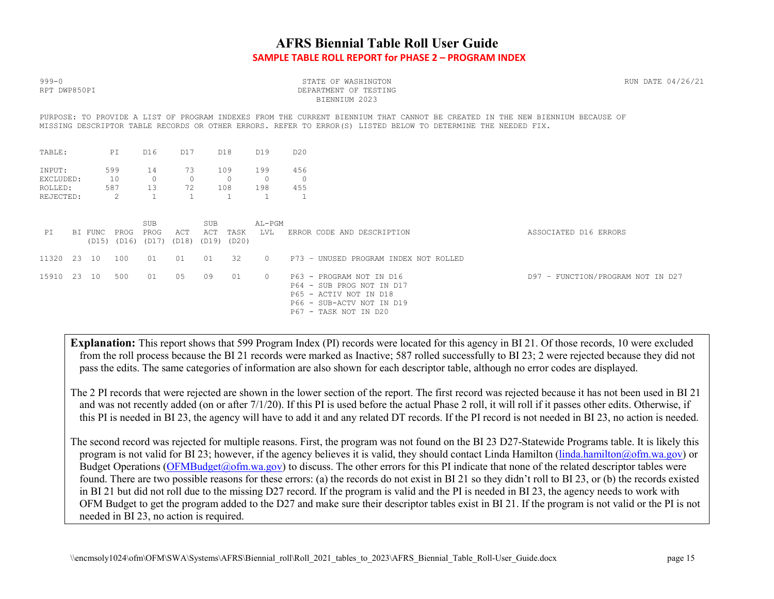### **AFRS Biennial Table Roll User Guide SAMPLE TABLE ROLL REPORT for PHASE 2 – PROGRAM INDEX**

| $999 - 0$<br>RPT DWP850PI                                                                                                                                                                                                                      |       |         |                         |                             |                     |                            |                       |                              |                              | STATE OF WASHINGTON<br>DEPARTMENT OF TESTING<br>BIENNIUM 2023                                                                         |                                   |  |  |  |  |
|------------------------------------------------------------------------------------------------------------------------------------------------------------------------------------------------------------------------------------------------|-------|---------|-------------------------|-----------------------------|---------------------|----------------------------|-----------------------|------------------------------|------------------------------|---------------------------------------------------------------------------------------------------------------------------------------|-----------------------------------|--|--|--|--|
| PURPOSE: TO PROVIDE A LIST OF PROGRAM INDEXES FROM THE CURRENT BIENNIUM THAT CANNOT BE CREATED IN THE NEW BIENNIUM BECAUSE OF<br>MISSING DESCRIPTOR TABLE RECORDS OR OTHER ERRORS. REFER TO ERROR(S) LISTED BELOW TO DETERMINE THE NEEDED FIX. |       |         |                         |                             |                     |                            |                       |                              |                              |                                                                                                                                       |                                   |  |  |  |  |
| TABLE:                                                                                                                                                                                                                                         |       |         | PI                      | D16                         | D17                 |                            | D18                   | D19                          | D <sub>20</sub>              |                                                                                                                                       |                                   |  |  |  |  |
| INPUT:<br>EXCLUDED:<br>ROLLED:<br>REJECTED:                                                                                                                                                                                                    |       |         | 599<br>10<br>587<br>-2. | 14<br>$\circ$<br>13         | 73<br>$\circ$<br>72 |                            | 109<br>$\circ$<br>108 | 199<br>$\overline{0}$<br>198 | 456<br>$\overline{0}$<br>455 |                                                                                                                                       |                                   |  |  |  |  |
| PT                                                                                                                                                                                                                                             |       | BI FUNC | PROG<br>(D15) (D16)     | <b>SUB</b><br>PROG<br>(D17) | ACT<br>(D18)        | <b>SUB</b><br>ACT<br>(D19) | TASK<br>(D20)         | AL-PGM<br>LVL                |                              | ERROR CODE AND DESCRIPTION                                                                                                            | ASSOCIATED D16 ERRORS             |  |  |  |  |
| 11320                                                                                                                                                                                                                                          | 23    | 10      | 100                     | 01                          | 01                  | 01                         | 32                    | $\circ$                      |                              | P73 - UNUSED PROGRAM INDEX NOT ROLLED                                                                                                 |                                   |  |  |  |  |
| 15910                                                                                                                                                                                                                                          | 23 10 |         | 500                     | 01                          | 05                  | 09                         | 01                    | $\circ$                      |                              | P63 - PROGRAM NOT IN D16<br>P64 - SUB PROG NOT IN D17<br>P65 - ACTIV NOT IN D18<br>P66 - SUB-ACTV NOT IN D19<br>P67 - TASK NOT IN D20 | D97 - FUNCTION/PROGRAM NOT IN D27 |  |  |  |  |

**Explanation:** This report shows that 599 Program Index (PI) records were located for this agency in BI 21. Of those records, 10 were excluded from the roll process because the BI 21 records were marked as Inactive; 587 rolled successfully to BI 23; 2 were rejected because they did not pass the edits. The same categories of information are also shown for each descriptor table, although no error codes are displayed.

The 2 PI records that were rejected are shown in the lower section of the report. The first record was rejected because it has not been used in BI 21 and was not recently added (on or after 7/1/20). If this PI is used before the actual Phase 2 roll, it will roll if it passes other edits. Otherwise, if this PI is needed in BI 23, the agency will have to add it and any related DT records. If the PI record is not needed in BI 23, no action is needed.

The second record was rejected for multiple reasons. First, the program was not found on the BI 23 D27-Statewide Programs table. It is likely this program is not valid for BI 23; however, if the agency believes it is valid, they should contact Linda Hamilton (linda.hamilton @ofm.wa.gov) or Budget Operations [\(OFMBudget@ofm.wa.gov\)](mailto:OFMBudget@ofm.wa.gov) to discuss. The other errors for this PI indicate that none of the related descriptor tables were found. There are two possible reasons for these errors: (a) the records do not exist in BI 21 so they didn't roll to BI 23, or (b) the records existed in BI 21 but did not roll due to the missing D27 record. If the program is valid and the PI is needed in BI 23, the agency needs to work with OFM Budget to get the program added to the D27 and make sure their descriptor tables exist in BI 21. If the program is not valid or the PI is not needed in BI 23, no action is required.